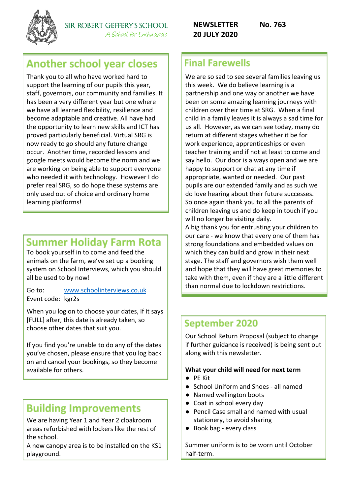**Another school year closes** 

SIR ROBERT GEFFERY'S SCHOOL

A School for Enthusiasts

Thank you to all who have worked hard to support the learning of our pupils this year, staff, governors, our community and families. It has been a very different year but one where we have all learned flexibility, resilience and become adaptable and creative. All have had the opportunity to learn new skills and ICT has proved particularly beneficial. Virtual SRG is now ready to go should any future change occur. Another time, recorded lessons and google meets would become the norm and we are working on being able to support everyone who needed it with technology. However I do prefer real SRG, so do hope these systems are only used out of choice and ordinary home learning platforms!

## **Summer Holiday Farm Rota**

To book yourself in to come and feed the animals on the farm, we've set up a booking system on School Interviews, which you should all be used to by now!

Go to: [www.schoolinterviews.co.uk](http://www.schoolinterviews.co.uk/) Event code: kgr2s

When you log on to choose your dates, if it says [FULL] after, this date is already taken, so choose other dates that suit you.

If you find you're unable to do any of the dates you've chosen, please ensure that you log back on and cancel your bookings, so they become available for others.

## **Building Improvements**

We are having Year 1 and Year 2 cloakroom areas refurbished with lockers like the rest of the school.

A new canopy area is to be installed on the KS1 playground.

We are so sad to see several families leaving us this week. We do believe learning is a partnership and one way or another we have been on some amazing learning journeys with children over their time at SRG. When a final child in a family leaves it is always a sad time for us all. However, as we can see today, many do return at different stages whether it be for work experience, apprenticeships or even teacher training and if not at least to come and say hello. Our door is always open and we are happy to support or chat at any time if appropriate, wanted or needed. Our past pupils are our extended family and as such we do love hearing about their future successes. So once again thank you to all the parents of children leaving us and do keep in touch if you will no longer be visiting daily. A big thank you for entrusting your children to our care - we know that every one of them has strong foundations and embedded values on which they can build and grow in their next stage. The staff and governors wish them well

and hope that they will have great memories to take with them, even if they are a little different than normal due to lockdown restrictions.

### **September 2020**

Our School Return Proposal (subject to change if further guidance is received) is being sent out along with this newsletter.

#### **What your child will need for next term**

- PE Kit
- School Uniform and Shoes all named
- Named wellington boots
- Coat in school every day
- Pencil Case small and named with usual stationery, to avoid sharing
- Book bag every class

Summer uniform is to be worn until October half-term.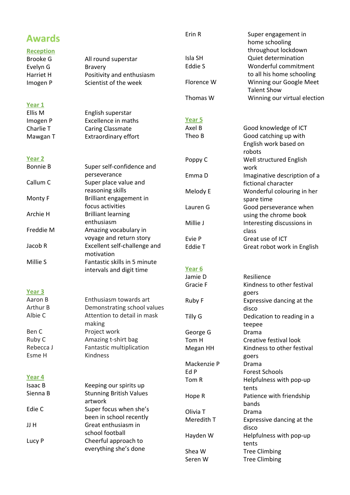| <b>Awards</b>     |                                           | Erin R          | Super engagement in<br>home schooling                    |
|-------------------|-------------------------------------------|-----------------|----------------------------------------------------------|
| <b>Reception</b>  |                                           |                 | throughout lockdown                                      |
| <b>Brooke G</b>   | All round superstar                       | Isla SH         | Quiet determination                                      |
| Evelyn G          | <b>Bravery</b>                            | Eddie S         | Wonderful commitment                                     |
| Harriet H         | Positivity and enthusiasm                 |                 | to all his home schooling                                |
| Imogen P          | Scientist of the week                     | Florence W      | Winning our Google Meet<br><b>Talent Show</b>            |
|                   |                                           | Thomas W        | Winning our virtual election                             |
| Year 1            |                                           |                 |                                                          |
| Ellis M           | English superstar                         |                 |                                                          |
| Imogen P          | <b>Excellence in maths</b>                | Year 5          |                                                          |
| Charlie T         | Caring Classmate                          | Axel B          | Good knowledge of ICT                                    |
| Mawgan T          | <b>Extraordinary effort</b>               | Theo B          | Good catching up with<br>English work based on<br>robots |
| Year <sub>2</sub> |                                           | Poppy C         | Well structured English                                  |
| <b>Bonnie B</b>   | Super self-confidence and                 |                 | work                                                     |
|                   | perseverance                              | Emma D          | Imaginative description of a                             |
| Callum C          | Super place value and                     |                 | fictional character                                      |
|                   | reasoning skills                          | Melody E        | Wonderful colouring in her                               |
| Monty F           | Brilliant engagement in                   |                 |                                                          |
|                   | focus activities                          |                 | spare time                                               |
| Archie H          | <b>Brilliant learning</b>                 | Lauren G        | Good perseverance when                                   |
|                   | enthusiasm                                |                 | using the chrome book                                    |
|                   |                                           | Millie J        | Interesting discussions in                               |
| Freddie M         | Amazing vocabulary in                     |                 | class                                                    |
|                   | voyage and return story                   | Evie P          | Great use of ICT                                         |
| Jacob R           | Excellent self-challenge and              | Eddie T         | Great robot work in English                              |
|                   | motivation                                |                 |                                                          |
| Millie S          | Fantastic skills in 5 minute              |                 |                                                          |
|                   | intervals and digit time                  | Year 6          |                                                          |
|                   |                                           | Jamie D         | Resilience                                               |
|                   |                                           | <b>Gracie F</b> | Kindness to other festival                               |
| Year <sub>3</sub> |                                           |                 | goers                                                    |
| Aaron B           | Enthusiasm towards art                    | Ruby F          | Expressive dancing at the                                |
| Arthur B          | Demonstrating school values               |                 | disco                                                    |
| Albie C           | Attention to detail in mask               | Tilly G         | Dedication to reading in a                               |
|                   | making                                    |                 | teepee                                                   |
| Ben C             | Project work                              | George G        | Drama                                                    |
| Ruby C            | Amazing t-shirt bag                       | Tom H           | Creative festival look                                   |
| Rebecca J         | Fantastic multiplication                  | Megan HH        | Kindness to other festival                               |
| Esme H            | Kindness                                  |                 | goers                                                    |
|                   |                                           | Mackenzie P     | Drama                                                    |
|                   |                                           | Ed P            | <b>Forest Schools</b>                                    |
| Year 4            |                                           | Tom R           | Helpfulness with pop-up                                  |
| Isaac B           | Keeping our spirits up                    |                 | tents                                                    |
| Sienna B          | <b>Stunning British Values</b><br>artwork | Hope R          | Patience with friendship<br>bands                        |
| Edie C            | Super focus when she's                    | Olivia T        | Drama                                                    |
|                   | been in school recently                   | Meredith T      | Expressive dancing at the                                |
| JJ H              | Great enthusiasm in                       |                 | disco                                                    |
|                   | school football                           | Hayden W        | Helpfulness with pop-up                                  |
| Lucy P            | Cheerful approach to                      |                 | tents                                                    |
|                   | everything she's done                     | Shea W          | <b>Tree Climbing</b>                                     |
|                   |                                           | Seren W         | <b>Tree Climbing</b>                                     |
|                   |                                           |                 |                                                          |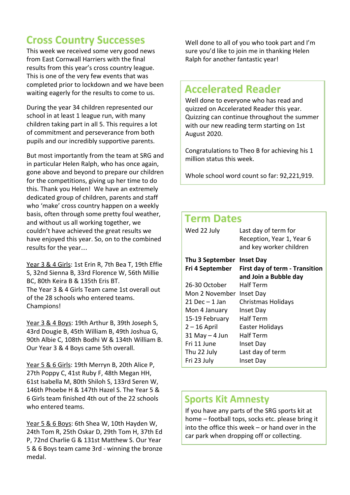# **Cross Country Successes**

This week we received some very good news from East Cornwall Harriers with the final results from this year's cross country league. This is one of the very few events that was completed prior to lockdown and we have been waiting eagerly for the results to come to us.

During the year 34 children represented our school in at least 1 league run, with many children taking part in all 5. This requires a lot of commitment and perseverance from both pupils and our incredibly supportive parents.

But most importantly from the team at SRG and in particular Helen Ralph, who has once again, gone above and beyond to prepare our children for the competitions, giving up her time to do this. Thank you Helen! We have an extremely dedicated group of children, parents and staff who 'make' cross country happen on a weekly basis, often through some pretty foul weather, and without us all working together, we couldn't have achieved the great results we have enjoyed this year. So, on to the combined results for the year…

Year 3 & 4 Girls: 1st Erin R, 7th Bea T, 19th Effie S, 32nd Sienna B, 33rd Florence W, 56th Millie BC, 80th Keira B & 135th Eris BT. The Year 3 & 4 Girls Team came 1st overall out of the 28 schools who entered teams. Champions!

Year 3 & 4 Boys: 19th Arthur B, 39th Joseph S, 43rd Dougie B, 45th William B, 49th Joshua G, 90th Albie C, 108th Bodhi W & 134th William B. Our Year 3 & 4 Boys came 5th overall.

Year 5 & 6 Girls: 19th Merryn B, 20th Alice P, 27th Poppy C, 41st Ruby F, 48th Megan HH, 61st Isabella M, 80th Shiloh S, 133rd Seren W, 146th Phoebe H & 147th Hazel S. The Year 5 & 6 Girls team finished 4th out of the 22 schools who entered teams.

Year 5 & 6 Boys: 6th Shea W, 10th Hayden W, 24th Tom R, 25th Oskar D, 29th Tom H, 37th Ed P, 72nd Charlie G & 131st Matthew S. Our Year 5 & 6 Boys team came 3rd - winning the bronze medal.

Well done to all of you who took part and I'm sure you'd like to join me in thanking Helen Ralph for another fantastic year!

## **Accelerated Reader**

Well done to everyone who has read and quizzed on Accelerated Reader this year. Quizzing can continue throughout the summer with our new reading term starting on 1st August 2020.

Congratulations to Theo B for achieving his 1 million status this week.

Whole school word count so far: 92,221,919.

#### **Term Dates**

| Wed 22 July                        | Last day of term for<br>Reception, Year 1, Year 6<br>and key worker children |
|------------------------------------|------------------------------------------------------------------------------|
| Thu 3 September<br>Fri 4 September | <b>Inset Day</b><br><b>First day of term - Transition</b>                    |
|                                    | and Join a Bubble day                                                        |
| 26-30 October                      | <b>Half Term</b>                                                             |
| Mon 2 November -                   | Inset Day                                                                    |
| $21$ Dec $-1$ Jan                  | <b>Christmas Holidays</b>                                                    |
| Mon 4 January                      | Inset Day                                                                    |
| 15-19 February                     | <b>Half Term</b>                                                             |
| $2 - 16$ April                     | Easter Holidays                                                              |
| $31$ May $-4$ Jun                  | <b>Half Term</b>                                                             |
| Fri 11 June                        | Inset Day                                                                    |
| Thu 22 July                        | Last day of term                                                             |
| Fri 23 July                        | Inset Day                                                                    |
|                                    |                                                                              |

### **Sports Kit Amnesty**

If you have any parts of the SRG sports kit at home – football tops, socks etc. please bring it into the office this week – or hand over in the car park when dropping off or collecting.